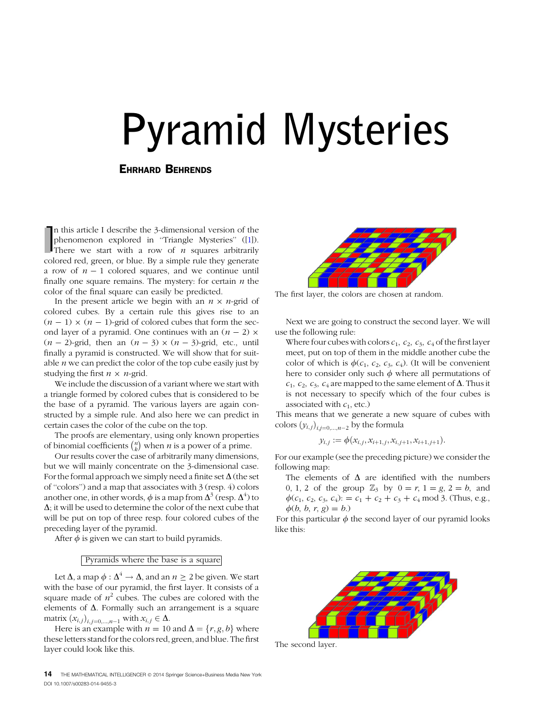# Pyramid Mysteries

# EHRHARD BEHRENDS

In this article I describe the 3-dimensional version of the phenomenon explored in "Triangle Mysteries" ([1]). There we start with a row of  $n$  squares arbitrarily colored red, green, or blue. By a simple rule they genera n this article I describe the 3-dimensional version of the phenomenon explored in ''Triangle Mysteries'' ([\[1\]](#page-5-0)). There we start with a row of  $n$  squares arbitrarily a row of  $n - 1$  colored squares, and we continue until finally one square remains. The mystery: for certain  $n$  the color of the final square can easily be predicted.

In the present article we begin with an  $n \times n$ -grid of colored cubes. By a certain rule this gives rise to an  $(n - 1) \times (n - 1)$ -grid of colored cubes that form the second layer of a pyramid. One continues with an  $(n - 2) \times$  $(n - 2)$ -grid, then an  $(n - 3) \times (n - 3)$ -grid, etc., until finally a pyramid is constructed. We will show that for suitable  $n$  we can predict the color of the top cube easily just by studying the first  $n \times n$ -grid.

We include the discussion of a variant where we start with a triangle formed by colored cubes that is considered to be the base of a pyramid. The various layers are again constructed by a simple rule. And also here we can predict in certain cases the color of the cube on the top.

The proofs are elementary, using only known properties of binomial coefficients  $\binom{n}{k}$  $\binom{n}{k}$  when *n* is a power of a prime.

Our results cover the case of arbitrarily many dimensions, but we will mainly concentrate on the 3-dimensional case. For the formal approach we simply need a finite set  $\Delta$  (the set of ''colors'') and a map that associates with 3 (resp. 4) colors another one, in other words,  $\phi$  is a map from  $\Delta^3$  (resp.  $\Delta^4$ ) to  $\Delta$ ; it will be used to determine the color of the next cube that will be put on top of three resp. four colored cubes of the preceding layer of the pyramid.

After  $\phi$  is given we can start to build pyramids.

# Pyramids where the base is a square

Let  $\Delta$ , a map  $\phi : \Delta^4 \to \Delta$ , and an  $n \geq 2$  be given. We start with the base of our pyramid, the first layer. It consists of a square made of  $n^2$  cubes. The cubes are colored with the elements of  $\Delta$ . Formally such an arrangement is a square matrix  $(x_{i,j})_{i,j=0,\dots,n-1}$  with  $x_{i,j} \in \Delta$ .

Here is an example with  $n = 10$  and  $\Delta = \{r, g, b\}$  where these letters stand for the colors red, green, and blue. The first layer could look like this.



The first layer, the colors are chosen at random.

Next we are going to construct the second layer. We will use the following rule:

Where four cubes with colors  $c_1$ ,  $c_2$ ,  $c_3$ ,  $c_4$  of the first layer meet, put on top of them in the middle another cube the color of which is  $\phi(c_1, c_2, c_3, c_4)$ . (It will be convenient here to consider only such  $\phi$  where all permutations of  $c_1$ ,  $c_2$ ,  $c_3$ ,  $c_4$  are mapped to the same element of  $\Delta$ . Thus it is not necessary to specify which of the four cubes is associated with  $c_1$ , etc.)

This means that we generate a new square of cubes with colors  $(y_{i,j})_{i,j=0,\dots,n-2}$  by the formula

$$
y_{i,j} := \phi(x_{i,j}, x_{i+1,j}, x_{i,j+1}, x_{i+1,j+1}).
$$

For our example (see the preceding picture) we consider the following map:

The elements of  $\Delta$  are identified with the numbers 0, 1, 2 of the group  $\mathbb{Z}_3$  by  $0 = r$ ,  $1 = g$ ,  $2 = b$ , and  $\phi(c_1, c_2, c_3, c_4)$ : =  $c_1 + c_2 + c_3 + c_4 \mod 3$ . (Thus, e.g.,  $\phi(b, b, r, g) = b.$ 

For this particular  $\phi$  the second layer of our pyramid looks like this:



The second layer.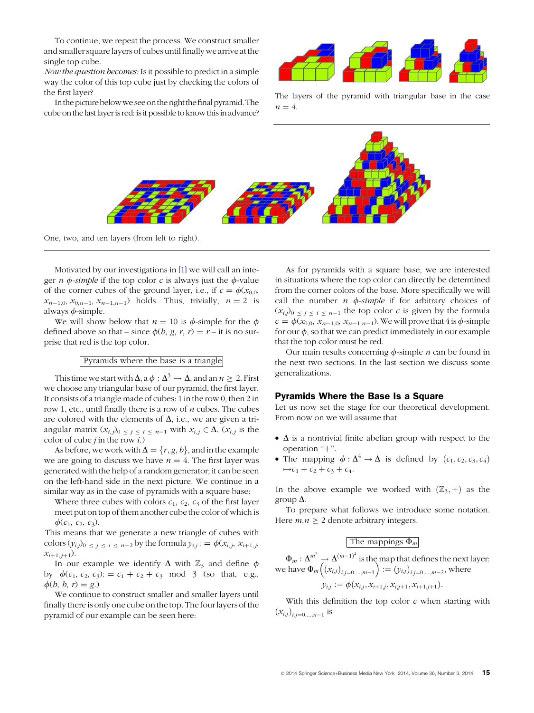To continue, we repeat the process. We construct smaller and smaller square layers of cubes until finally we arrive at the single top cube.

Now the question becomes: Is it possible to predict in a simple way the color of this top cube just by checking the colors of the first layer?

In the picture below we see on the right the final pyramid. The cube on the last layer is red: is it possible to know this in advance?

The layers of the pyramid with triangular base in the case  $n = 4$ 



One, two, and ten layers (from left to right).

Motivated by our investigations in [[1\]](#page-5-0) we will call an integer *n*  $\phi$ -simple if the top color *c* is always just the  $\phi$ -value of the corner cubes of the ground layer, i.e., if  $c = \phi(x_{0,0},$  $x_{n-1,0}, x_{0,n-1}, x_{n-1,n-1}$  holds. Thus, trivially,  $n = 2$  is always  $\phi$ -simple.

We will show below that  $n = 10$  is  $\phi$ -simple for the  $\phi$ defined above so that – since  $\phi(b, g, r, r) = r - it$  is no surprise that red is the top color.

### Pyramids where the base is a triangle

This time we start with  $\Delta$ ,  $a \phi : \Delta^3 \rightarrow \Delta$ , and an  $n \geq 2$ . First we choose any triangular base of our pyramid, the first layer. It consists of a triangle made of cubes: 1 in the row 0, then 2 in row 1, etc., until finally there is a row of  $n$  cubes. The cubes are colored with the elements of  $\Delta$ , i.e., we are given a triangular matrix  $(x_{i,j})_{0 \leq j \leq i \leq n-1}$  with  $x_{i,j} \in \Delta$ .  $(x_{i,j}$  is the color of cube *j* in the row  $i$ .)

As before, we work with  $\Delta = \{r, g, b\}$ , and in the example we are going to discuss we have  $n = 4$ . The first layer was generated with the help of a random generator; it can be seen on the left-hand side in the next picture. We continue in a similar way as in the case of pyramids with a square base:

Where three cubes with colors  $c_1$ ,  $c_2$ ,  $c_3$  of the first layer meet put on top of them another cube the color of which is  $\phi(c_1, c_2, c_3)$ .

This means that we generate a new triangle of cubes with colors  $(y_{i,j})_{0 \leq j \leq i \leq n-2}$  by the formula  $y_{i,j}$ :  $= \phi(x_{i,j}, x_{i+1,j})$  $x_{i+1,j+1}$ ).

In our example we identify  $\Delta$  with  $\mathbb{Z}_3$  and define  $\phi$ by  $\phi(c_1, c_2, c_3): = c_1 + c_2 + c_3 \mod 3$  (so that, e.g.,  $\phi(b, b, r) = g.$ 

We continue to construct smaller and smaller layers until finally there is only one cube on the top. The four layers of the pyramid of our example can be seen here:

As for pyramids with a square base, we are interested in situations where the top color can directly be determined from the corner colors of the base. More specifically we will call the number  $n \phi$ -simple if for arbitrary choices of  $(x_{i,j})_{0 \leq j \leq i \leq n-1}$  the top color c is given by the formula  $c = \phi(x_{0,0}, x_{n-1,0}, x_{n-1,n-1})$ . We will prove that 4 is  $\phi$ -simple for our  $\phi$ , so that we can predict immediately in our example that the top color must be red.

Our main results concerning  $\phi$ -simple *n* can be found in the next two sections. In the last section we discuss some generalizations.

### Pyramids Where the Base Is a Square

Let us now set the stage for our theoretical development. From now on we will assume that

- $\Delta$  is a nontrivial finite abelian group with respect to the operation  $+$ ".
- The mapping  $\phi : \Delta^4 \to \Delta$  is defined by  $(c_1, c_2, c_3, c_4)$  $\mapsto c_1 + c_2 + c_3 + c_4.$

In the above example we worked with  $(\mathbb{Z}_3, +)$  as the group  $\Delta$ .

To prepare what follows we introduce some notation. Here  $m, n \geq 2$  denote arbitrary integers.

## The mappings  $\Phi$ ,

$$
\Phi_m : \Delta^{m^2} \to \Delta^{(m-1)^2}
$$
 is the map that defines the next layer:  
we have 
$$
\Phi_m\left((x_{i,j})_{i,j=0,\dots,m-1}\right) := (y_{i,j})_{i,j=0,\dots,m-2}
$$
, where  

$$
y_{i,j} := \phi(x_{i,j}, x_{i+1,j}, x_{i,j+1}, x_{i+1,j+1}).
$$

With this definition the top color  $c$  when starting with  $(x_{i,j})_{i,j=0,...,n-1}$  is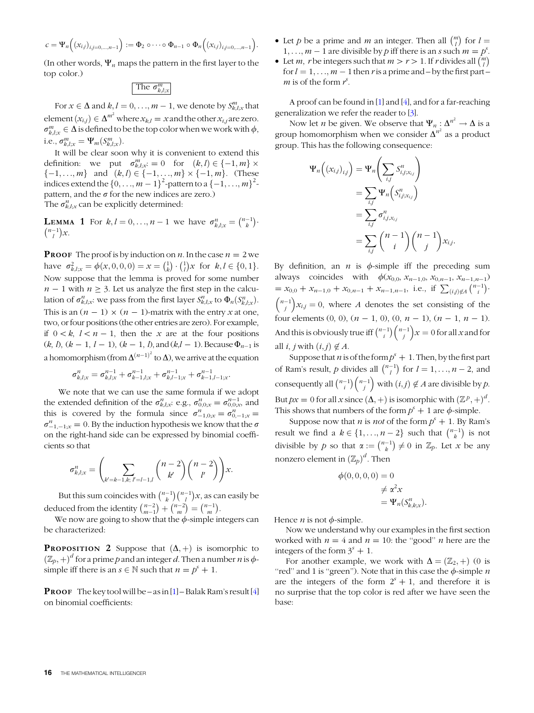$$
c = \Psi_n \Big( (x_{i,j})_{i,j=0,...,n-1} \Big) := \Phi_2 \circ \cdots \circ \Phi_{n-1} \circ \Phi_n \Big( (x_{i,j})_{i,j=0,...,n-1} \Big).
$$

(In other words,  $\Psi_n$  maps the pattern in the first layer to the top color.)

The  $\sigma_{k,l;x}^m$ 

For  $x \in \Delta$  and  $k, l = 0, ..., m - 1$ , we denote by  $S_{k,l;x}^m$  that element  $(x_{i,j}) \in \Delta^{m^2}$  where  $x_{k,l} = x$  and the other  $x_{i,j}$  are zero.  $\sigma^m_{k,l;x} \in \Delta$  is defined to be the top color when we work with  $\phi$ , i.e.,  $\sigma_{k,l;x}^{m} = \Psi_m(S_{k,l;x}^{m}).$ 

It will be clear soon why it is convenient to extend this definition: we put  $\sigma_{k,l;x}^m := 0$  for  $(k,l) \in \{-1,m\} \times$  $\{-1, ..., m\}$  and  $(k, l) \in \{-1, ..., m\} \times \{-1, m\}$ . (These indices extend the  $\{0, \ldots, m-1\}^2$ -pattern to a  $\{-1, \ldots, m\}^2$ pattern, and the  $\sigma$  for the new indices are zero.) The  $\sigma_{k,l;x}^n$  can be explicitly determined:

**LEMMA 1** For  $k, l = 0, ..., n-1$  we have  $\sigma_{k,l;x}^n = \binom{n-1}{k}$  $\binom{n-1}{k}$ .  $\frac{n-1}{l}$  $\frac{m}{\binom{n-1}{l}}x$ .

**PROOF** The proof is by induction on *n*. In the case  $n = 2$  we have  $\sigma_{k,l;x}^2 = \phi(x,0,0,0) = x = \begin{pmatrix} 1 \\ k \end{pmatrix}$  $\binom{1}{k} \cdot \binom{1}{l}$  ${1 \choose l}$  x for  $k, l \in \{0, 1\}.$ Now suppose that the lemma is proved for some number  $n - 1$  with  $n \geq 3$ . Let us analyze the first step in the calculation of  $\sigma_{k,l,x}^n$ : we pass from the first layer  $S_{k,l,x}^n$  to  $\Phi_n(S_{k,l,x}^n)$ . This is an  $(n - 1) \times (n - 1)$ -matrix with the entry x at one, two, or four positions (the other entries are zero). For example, if  $0 \lt k$ ,  $l \lt n - 1$ , then the x are at the four positions  $(k, l), (k - 1, l - 1), (k - 1, l),$  and  $(k, l - 1)$ . Because  $\Phi_{n-1}$  is a homomorphism (from  $\Delta^{(n-1)^2}$  to  $\Delta$ ), we arrive at the equation

$$
\sigma^n_{k,l;x} = \sigma^{n-1}_{k,l;x} + \sigma^{n-1}_{k-1,l;x} + \sigma^{n-1}_{k,l-1;x} + \sigma^{n-1}_{k-1,l-1;x}.
$$

We note that we can use the same formula if we adopt the extended definition of the  $\sigma_{k,l;x}^n$ : e.g.,  $\sigma_{0,0;x}^n = \sigma_{0,0;x}^{n-1}$  and this is covered by the formula since  $\sigma_{-1,0;x}^n = \sigma_{0,-1;x}^n =$  $\sigma_{-1,-1;x}^n = 0$ . By the induction hypothesis we know that the  $\sigma$ on the right-hand side can be expressed by binomial coefficients so that

$$
\sigma_{k,l;x}^n = \left(\sum_{k'=k-1,k;\;l'=l-1,l} {n-2 \choose k'} {n-2 \choose l'} \right) x.
$$

But this sum coincides with  $\binom{n-1}{k}$  $\binom{n-1}{k}\binom{n-1}{l}$  $\binom{n-1}{l}x$ , as can easily be deduced from the identity  $\binom{n-2}{m-1}$  $\binom{n-2}{m-1} + \binom{n-2}{m}$  $\begin{pmatrix} n-2 \\ m \end{pmatrix} = \begin{pmatrix} n-1 \\ m \end{pmatrix}$  $\left(\begin{matrix}n-1\\m\end{matrix}\right).$ 

We now are going to show that the  $\phi$ -simple integers can be characterized:

**PROPOSITION 2** Suppose that  $(\Delta, +)$  is isomorphic to  $(\mathbb{Z}_p, +)^d$  for a prime p and an integer d. Then a number n is  $\phi$ simple iff there is an  $s \in \mathbb{N}$  such that  $n = p<sup>s</sup> + 1$ .

**PROOF** The key tool will be – as in  $[1]$  $[1]$  $[1]$ –Balak Ram's result [\[4\]](#page-5-0) on binomial coefficients:

- Let  $p$  be a prime and  $m$  an integer. Then all  $\binom{m}{l}$  $\binom{m}{l}$  for  $l =$ 1, ...,  $m-1$  are divisible by p iff there is an s such  $m = p<sup>s</sup>$ .
- Let *m*, *r* be integers such that  $m > r > 1$ . If *r* divides all  $\binom{m}{l}$  $\frac{P}{m}$ for  $l = 1, ..., m - 1$  then r is a prime and – by the first part – m is of the form  $r^s$ .

A proof can be found in [\[1\]](#page-5-0) and [\[4](#page-5-0)], and for a far-reaching generalization we refer the reader to [\[3\]](#page-5-0).

Now let *n* be given. We observe that  $\Psi_n : \Delta^{n^2} \to \Delta$  is a group homomorphism when we consider  $\Delta^{n^2}$  as a product group. This has the following consequence:

$$
\Psi_n\left((x_{i,j})_{i,j}\right) = \Psi_n\left(\sum_{i,j} S_{i,j;x_{i,j}}^n\right)
$$
  
= 
$$
\sum_{i,j} \Psi_n\left(S_{i,j;x_{i,j}}^n\right)
$$
  
= 
$$
\sum_{i,j} \sigma_{i,j,x_{i,j}}^n
$$
  
= 
$$
\sum_{i,j} {n-1 \choose i} {n-1 \choose j} x_{i,j}.
$$

By definition, an  $n$  is  $\phi$ -simple iff the preceding sum always coincides with  $\phi(x_{0,0}, x_{n-1,0}, x_{0,n-1}, x_{n-1,n-1})$  $= x_{0,0} + x_{n-1,0} + x_{0,n-1} + x_{n-1,n-1}$ , i.e., if  $\sum_{(i,j)\notin A} {n-1 \choose i}$  $\binom{n-1}{i}$ .  $\left(\begin{array}{c} n-1 \\ j\end{array}\right)x_{i,j} = 0$ , where A denotes the set consisting of the four elements  $(0, 0)$ ,  $(n - 1, 0)$ ,  $(0, n - 1)$ ,  $(n - 1, n - 1)$ . And this is obviously true iff  $\binom{n-1}{i}$  $\binom{n-1}{i}\binom{n-1}{j}x = 0$  for all x and for all *i*, *j* with  $(i, j) \notin A$ .

Suppose that *n* is of the form  $p^s + 1$ . Then, by the first part of Ram's result, p divides all  $\binom{n-1}{l}$  $\binom{n-1}{l}$  for  $l = 1, ..., n-2$ , and consequently all  $\binom{n-1}{i}$  $\binom{n-1}{i}\binom{n-1}{j}$  with  $(i,j) \notin A$  are divisible by p. But  $px = 0$  for all x since  $(\Delta, +)$  is isomorphic with  $(\mathbb{Z}^p, +)^d$ . This shows that numbers of the form  $p^s + 1$  are  $\phi$ -simple.

Suppose now that *n* is *not* of the form  $p^s + 1$ . By Ram's result we find a  $k \in \{1, ..., n-2\}$  such that  $\binom{n-1}{k}$  $\binom{n-1}{b}$  is not divisible by p so that  $\alpha := \binom{n-1}{k}$  $\binom{n-1}{k} \neq 0$  in  $\mathbb{Z}_p$ . Let x be any nonzero element in  $(\mathbb{Z}_p)^d$ . Then

$$
\phi(0,0,0,0) = 0
$$
  
\n
$$
\neq \alpha^2 x
$$
  
\n
$$
= \Psi_n(S_{k,k;x}^n).
$$

Hence *n* is not  $\phi$ -simple.

Now we understand why our examples in the first section worked with  $n = 4$  and  $n = 10$ : the "good" *n* here are the integers of the form  $3<sup>s</sup> + 1$ .

For another example, we work with  $\Delta = (\mathbb{Z}_2, +)$  (0 is "red" and 1 is "green"). Note that in this case the  $\phi$ -simple *n* are the integers of the form  $2<sup>s</sup> + 1$ , and therefore it is no surprise that the top color is red after we have seen the base: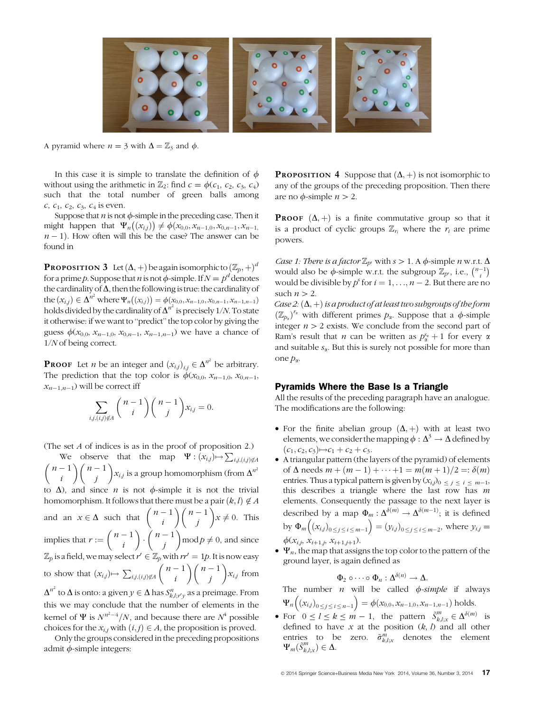

A pyramid where  $n = 3$  with  $\Delta = \mathbb{Z}_3$  and  $\phi$ .

In this case it is simple to translate the definition of  $\phi$ without using the arithmetic in  $\mathbb{Z}_2$ : find  $c = \phi(c_1, c_2, c_3, c_4)$ such that the total number of green balls among  $c, c_1, c_2, c_3, c_4$  is even.

Suppose that  $n$  is not  $\phi$ -simple in the preceding case. Then it might happen that  $\Psi_n((x_{i,j})) \neq \phi(x_{0,0}, x_{n-1,0}, x_{0,n-1}, x_{n-1,0})$  $n-1$ ). How often will this be the case? The answer can be found in

**PROPOSITION 3** Let  $(\Delta, +)$  be again isomorphic to  $(\mathbb{Z}_p, +)^d$ for a prime p. Suppose that n is not  $\phi$ -simple. If  $N = p^d$  denotes the cardinality of  $\Delta$ , then the following is true: the cardinality of the  $(x_{i,j}) \in \Delta^{n^2}$  where  $\Psi_n((x_{i,j})) = \phi(x_{0,0}, x_{n-1,0}, x_{0,n-1}, x_{n-1,n-1})$ holds divided by the cardinality of  $\Delta^{n^2}$  is precisely 1/N. To state it otherwise: if we want to ''predict'' the top color by giving the guess  $\phi(x_{0,0}, x_{n-1,0}, x_{0,n-1}, x_{n-1,n-1})$  we have a chance of 1/N of being correct.

**PROOF** Let *n* be an integer and  $(x_{i,j})_{i,j} \in \Delta^{n^2}$  be arbitrary. The prediction that the top color is  $\dot{\phi}(x_{0,0}, x_{n-1,0}, x_{0,n-1},$  $x_{n-1,n-1})$  will be correct iff

$$
\sum_{i,j,(i,j)\notin A} \binom{n-1}{i} \binom{n-1}{j} x_{i,j} = 0.
$$

(The set A of indices is as in the proof of proposition 2.) We observe that the map  $\Psi : (x_{i,j}) \mapsto \sum_{i,j,(i,j) \notin A}$  $n-1$ i  $\binom{n-1}{n-1}$ j  $\left( n-1\right)$  $x_{i,j}$  is a group homomorphism (from  $\Delta^{n^2}$ to  $\Delta$ ), and since *n* is not  $\phi$ -simple it is not the trivial homomorphism. It follows that there must be a pair  $(k, l) \notin A$ and an  $x \in \Delta$  such that  $\begin{pmatrix} n-1 \\ i \end{pmatrix}$ i  $\binom{n-1}{n-1}$ j  $\left( \begin{array}{cc} 1 & 1 \end{array} \right)$  $x \neq 0$ . This implies that  $r := \left(\begin{array}{c} n-1 \\ i \end{array}\right)$ i  $\binom{n-1}{i}$ .  $\binom{n-1}{i}$ j  $\chi$   $\chi$   $\chi$  $\text{mod} \, p \neq 0$ , and since  $\mathbb{Z}_p$  is a field, we may select  $r' \in \mathbb{Z}_p$  with  $rr' = 1p$ . It is now easy to show that  $(x_{i,j}) \mapsto \sum_{i,j,(i,j)\notin A} \binom{n-1}{i}$ i  $\binom{n}{n-1}$   $\binom{n-1}{n-1}$ j  $\frac{1}{\sqrt{n}}$  1)  $x_{i,j}$  from  $\Delta^{n^2}$  to  $\Delta$  is onto: a given  $y\in \Delta$  has  $S^n_{k,l;r'y}$  as a preimage. From this we may conclude that the number of elements in the kernel of  $\Psi$  is  $N^{n^2-4}/N$ , and because there are  $N^4$  possible

choices for the  $x_{i,j}$  with  $(i,j) \in A$ , the proposition is proved. Only the groups considered in the preceding propositions admit  $\phi$ -simple integers:

**PROPOSITION 4** Suppose that  $(\Delta, +)$  is not isomorphic to any of the groups of the preceding proposition. Then there are no  $\phi$ -simple  $n > 2$ .

**PROOF**  $(\Delta, +)$  is a finite commutative group so that it is a product of cyclic groups  $\mathbb{Z}_{r_i}$  where the  $r_i$  are prime powers.

Case 1: There is a factor  $\mathbb{Z}_{p^s}$  with  $s>1$ . A  $\phi$ -simple n w.r.t.  $\Delta$ would also be  $\phi$ -simple w.r.t. the subgroup  $\mathbb{Z}_{p^s}$ , i.e.,  $\binom{n-1}{i}$ <br>would be divisible by  $p^s$  for  $i = 1, \ldots, n-2$ . But there are no  $\frac{n \cdot n}{n-1}$ would be divisible by  $p^s$  for  $i = 1, ..., n - 2$ . But there are no such  $n>2$ .

Case 2:  $(\Delta, +)$  is a product of at least two subgroups of the form  $(\mathbb{Z}_{p_2})^{r_a}$  with different primes  $p_\alpha$ . Suppose that a  $\phi$ -simple<br>integer  $n > 2$  exists. We conclude from the second part of integer  $n > 2$  exists. We conclude from the second part of Ram's result that *n* can be written as  $p_{\alpha}^{s_x} + 1$  for every  $\alpha$ and suitable  $s_{\alpha}$ . But this is surely not possible for more than one  $p_{\alpha}$ .

# Pyramids Where the Base Is a Triangle

All the results of the preceding paragraph have an analogue. The modifications are the following:

- For the finite abelian group  $(\Delta, +)$  with at least two elements, we consider the mapping  $\phi : \Delta^3 \to \Delta$  defined by  $(c_1, c_2, c_3) \rightarrow c_1 + c_2 + c_3.$
- A triangular pattern (the layers of the pyramid) of elements of  $\Delta$  needs  $m + (m - 1) + \cdots + 1 = m(m + 1)/2 =: \delta(m)$ entries. Thus a typical pattern is given by  $(x_{i,j})_{0 \leq j \leq i \leq m-1}$ , this describes a triangle where the last row has  $m$ elements. Consequently the passage to the next layer is described by a map  $\Phi_m : \Delta^{\delta(m)} \to \Delta^{\delta(m-1)}$ ; it is defined by  $\Phi_m((x_{i,j})_{0 \le j \le i \le m-1}) = (y_{i,j})_{0 \le j \le i \le m-2}$ , where  $y_{i,j} =$  $\phi(x_{i,j}, x_{i+1,j}, x_{i+1,j+1}).$
- $\bullet \Psi_n$ , the map that assigns the top color to the pattern of the ground layer, is again defined as

$$
\Phi_2 \circ \cdots \circ \Phi_n : \Delta^{\delta(n)} \to \Delta.
$$

The number  $n$  will be called  $\phi$ -simple if always  $\Psi_n((x_{i,j})_{0\leq j\leq i\leq n-1}) = \phi(x_{0,0}, x_{n-1,0}, x_{n-1,n-1})$  holds.

• For  $0 \le l \le k \le m - 1$ , the pattern  $\tilde{S}_{k,l;x}^m \in \Delta^{\delta(m)}$  is defined to have x at the position  $(k, l)$  and all other entries to be zero.  $\tilde{\sigma}_{k,l;x}^m$  denotes the element  $\Psi_m(\tilde{S}_{k,l;x}^m) \in \Delta.$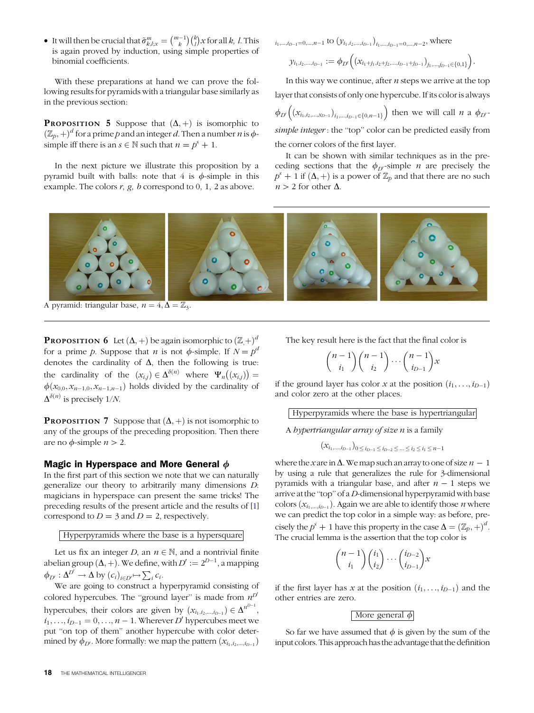• It will then be crucial that  $\tilde{\sigma}^m_{k,l;x} = \binom{m-1}{k}$  $\binom{m-1}{k}\binom{k}{l}$  $\binom{k}{l}$ x for all k, l. This is again proved by induction, using simple properties of binomial coefficients.

With these preparations at hand we can prove the following results for pyramids with a triangular base similarly as in the previous section:

**PROPOSITION 5** Suppose that  $(\Delta, +)$  is isomorphic to  $(\mathbb{Z}_p, +)^d$  for a prime p and an integer d. Then a number n is  $\phi$ simple iff there is an  $s \in \mathbb{N}$  such that  $n = p<sup>s</sup> + 1$ .

In the next picture we illustrate this proposition by a pyramid built with balls: note that  $4$  is  $\phi$ -simple in this example. The colors  $r$ ,  $g$ ,  $b$  correspond to 0, 1, 2 as above.

$$
i_1, \ldots, i_{D-1} = 0, \ldots, n-1
$$
 to  $(y_{i_1, i_2, \ldots, i_{D-1}})_{i_1, \ldots, i_{D-1} = 0, \ldots, n-2}$ , where

$$
y_{i_1,i_2,...,i_{D-1}} := \phi_{D'}\Big((x_{i_1+j_1,i_2+j_2,...,i_{D-1}+j_{D-1}})_{j_1,...,j_{D-1}\in\{0,1\}}\Big).
$$

In this way we continue, after  $n$  steps we arrive at the top layer that consists of only one hypercube. If its color is always

$$
\phi_{D'}( (x_{i_1,i_2,...,x_{D-1}})_{i_1,...,i_{D-1} \in \{0,n-1\}})
$$
 then we will call *n* a  $\phi_{D'}$ 

simple integer : the "top" color can be predicted easily from the corner colors of the first layer.

It can be shown with similar techniques as in the preceding sections that the  $\phi_{D}$ -simple *n* are precisely the  $p^{s} + 1$  if  $(\Delta, +)$  is a power of  $\mathbb{Z}_{p}$  and that there are no such  $n>2$  for other  $\Delta$ .



A pyramid: triangular base,  $n = 4, \Delta = \mathbb{Z}_3$ .

**PROPOSITION 6** Let  $(\Delta, +)$  be again isomorphic to  $(\mathbb{Z}, +)^d$ for a prime p. Suppose that n is not  $\phi$ -simple. If  $N = p^d$ denotes the cardinality of  $\Delta$ , then the following is true: the cardinality of the  $(x_{i,j}) \in \Delta^{\delta(n)}$  where  $\Psi_n((x_{i,j})) =$  $\phi(x_{0,0}, x_{n-1,0}, x_{n-1,n-1})$  holds divided by the cardinality of  $\Delta^{\delta(n)}$  is precisely 1/N.

**PROPOSITION 7** Suppose that  $(\Delta, +)$  is not isomorphic to any of the groups of the preceding proposition. Then there are no  $\phi$ -simple  $n > 2$ .

# Magic in Hyperspace and More General  $\phi$

In the first part of this section we note that we can naturally generalize our theory to arbitrarily many dimensions D: magicians in hyperspace can present the same tricks! The preceding results of the present article and the results of [\[1\]](#page-5-0) correspond to  $D = 3$  and  $D = 2$ , respectively.

# Hyperpyramids where the base is a hypersquare

Let us fix an integer D, an  $n \in \mathbb{N}$ , and a nontrivial finite abelian group  $(\Delta, +)$ . We define, with  $D' := 2^{D-1}$ , a mapping  $\phi_{D'} : \Delta^{D'} \to \Delta \text{ by } (c_i)_{i \in D'} \mapsto \sum_i c_i.$ 

We are going to construct a hyperpyramid consisting of colored hypercubes. The "ground layer" is made from  $n^{D'}$ hypercubes, their colors are given by  $(x_{i_1,i_2,\dots,i_{D-1}}) \in \Delta^{n^{D-1}}$ ,  $i_1, \ldots, i_{D-1} = 0, \ldots, n-1$ . Wherever D' hypercubes meet we put ''on top of them'' another hypercube with color determined by  $\phi_{D'}$ . More formally: we map the pattern  $(x_{i_1,i_2,\dots,i_{D-1}})$ 

The key result here is the fact that the final color is

$$
\binom{n-1}{i_1}\binom{n-1}{i_2}\cdots\binom{n-1}{i_{D-1}}x
$$

if the ground layer has color x at the position  $(i_1, \ldots, i_{D-1})$ and color zero at the other places.

### Hyperpyramids where the base is hypertriangular

A hypertriangular array of size n is a family

$$
(x_{i_1,...,i_{D-1}})_{0 \leq i_{D-1} \leq i_{D-2} \leq ... \leq i_2 \leq i_1 \leq n-1}
$$

where the x are in  $\Delta$ . We map such an array to one of size  $n - 1$ by using a rule that generalizes the rule for 3-dimensional pyramids with a triangular base, and after  $n - 1$  steps we arrive at the "top" of a D-dimensional hyperpyramid with base colors  $(x_{i_1,\dots,i_{D-1}})$ . Again we are able to identify those  $n$  where we can predict the top color in a simple way: as before, precisely the  $p^{s} + 1$  have this property in the case  $\Delta = (\mathbb{Z}_p, +)^d$ . The crucial lemma is the assertion that the top color is

$$
\binom{n-1}{i_1}\binom{i_1}{i_2}\cdots\binom{i_{D-2}}{i_{D-1}}x
$$

if the first layer has x at the position  $(i_1, \ldots, i_{D-1})$  and the other entries are zero.

# More general  $\phi$

So far we have assumed that  $\phi$  is given by the sum of the input colors. This approach has the advantage that the definition